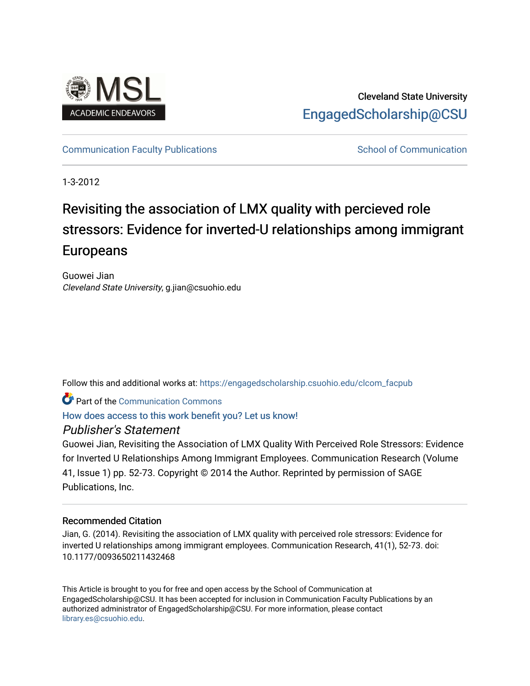

# Cleveland State University [EngagedScholarship@CSU](https://engagedscholarship.csuohio.edu/)

# [Communication Faculty Publications](https://engagedscholarship.csuohio.edu/clcom_facpub) [School of Communication](https://engagedscholarship.csuohio.edu/clcom) School of Communication

1-3-2012

# Revisiting the association of LMX quality with percieved role stressors: Evidence for inverted-U relationships among immigrant Europeans

Guowei Jian Cleveland State University, g.jian@csuohio.edu

Follow this and additional works at: [https://engagedscholarship.csuohio.edu/clcom\\_facpub](https://engagedscholarship.csuohio.edu/clcom_facpub?utm_source=engagedscholarship.csuohio.edu%2Fclcom_facpub%2F9&utm_medium=PDF&utm_campaign=PDFCoverPages) 

**C** Part of the Communication Commons

# [How does access to this work benefit you? Let us know!](http://library.csuohio.edu/engaged/)

# Publisher's Statement

Guowei Jian, Revisiting the Association of LMX Quality With Perceived Role Stressors: Evidence for Inverted U Relationships Among Immigrant Employees. Communication Research (Volume 41, Issue 1) pp. 52-73. Copyright © 2014 the Author. Reprinted by permission of SAGE Publications, Inc.

# Recommended Citation

Jian, G. (2014). Revisiting the association of LMX quality with perceived role stressors: Evidence for inverted U relationships among immigrant employees. Communication Research, 41(1), 52-73. doi: 10.1177/0093650211432468

This Article is brought to you for free and open access by the School of Communication at EngagedScholarship@CSU. It has been accepted for inclusion in Communication Faculty Publications by an authorized administrator of EngagedScholarship@CSU. For more information, please contact [library.es@csuohio.edu.](mailto:library.es@csuohio.edu)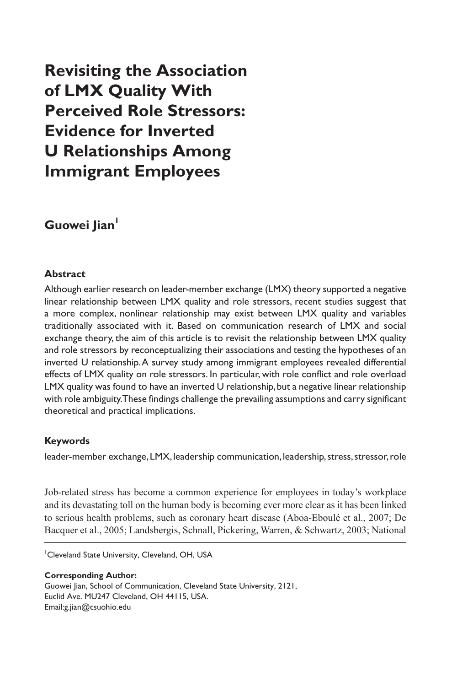**Revisiting the Association of LMX Quality With Perceived Role Stressors: Evidence for Inverted U Relationships Among Immigrant Employees**

Guowei Jian<sup>1</sup>

#### **Abstract**

Although earlier research on leader-member exchange (LMX) theory supported a negative linear relationship between LMX quality and role stressors, recent studies suggest that a more complex, nonlinear relationship may exist between LMX quality and variables traditionally associated with it. Based on communication research of LMX and social exchange theory, the aim of this article is to revisit the relationship between LMX quality and role stressors by reconceptualizing their associations and testing the hypotheses of an inverted U relationship. A survey study among immigrant employees revealed differential effects of LMX quality on role stressors. In particular, with role conflict and role overload LMX quality was found to have an inverted U relationship, but a negative linear relationship with role ambiguity. These findings challenge the prevailing assumptions and carry significant theoretical and practical implications.

#### **Keywords**

leader-member exchange, LMX, leadership communication, leadership, stress, stressor, role

Job-related stress has become a common experience for employees in today's workplace and its devastating toll on the human body is becoming ever more clear as it has been linked to serious health problems, such as coronary heart disease (Aboa-Eboulé et al., 2007; De Bacquer et al., 2005; Landsbergis, Schnall, Pickering, Warren, & Schwartz, 2003; National

<sup>1</sup>Cleveland State University, Cleveland, OH, USA

**Corresponding Author:** Guowei Jian, School of Communication, Cleveland State University, 2121, Euclid Ave. MU247 Cleveland, OH 44115, USA. Email:g.jian@csuohio.edu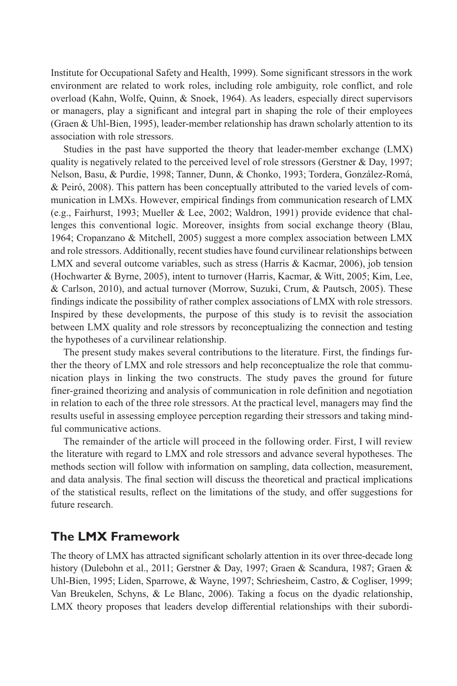Institute for Occupational Safety and Health, 1999). Some significant stressors in the work environment are related to work roles, including role ambiguity, role conflict, and role overload (Kahn, Wolfe, Quinn, & Snoek, 1964). As leaders, especially direct supervisors or managers, play a significant and integral part in shaping the role of their employees (Graen & Uhl-Bien, 1995), leader-member relationship has drawn scholarly attention to its association with role stressors.

Studies in the past have supported the theory that leader-member exchange (LMX) quality is negatively related to the perceived level of role stressors (Gerstner & Day, 1997; Nelson, Basu, & Purdie, 1998; Tanner, Dunn, & Chonko, 1993; Tordera, González-Romá, & Peiró, 2008). This pattern has been conceptually attributed to the varied levels of communication in LMXs. However, empirical findings from communication research of LMX (e.g., Fairhurst, 1993; Mueller & Lee, 2002; Waldron, 1991) provide evidence that challenges this conventional logic. Moreover, insights from social exchange theory (Blau, 1964; Cropanzano & Mitchell, 2005) suggest a more complex association between LMX and role stressors. Additionally, recent studies have found curvilinear relationships between LMX and several outcome variables, such as stress (Harris & Kacmar, 2006), job tension (Hochwarter & Byrne, 2005), intent to turnover (Harris, Kacmar, & Witt, 2005; Kim, Lee, & Carlson, 2010), and actual turnover (Morrow, Suzuki, Crum, & Pautsch, 2005). These findings indicate the possibility of rather complex associations of LMX with role stressors. Inspired by these developments, the purpose of this study is to revisit the association between LMX quality and role stressors by reconceptualizing the connection and testing the hypotheses of a curvilinear relationship.

The present study makes several contributions to the literature. First, the findings further the theory of LMX and role stressors and help reconceptualize the role that communication plays in linking the two constructs. The study paves the ground for future finer-grained theorizing and analysis of communication in role definition and negotiation in relation to each of the three role stressors. At the practical level, managers may find the results useful in assessing employee perception regarding their stressors and taking mindful communicative actions.

The remainder of the article will proceed in the following order. First, I will review the literature with regard to LMX and role stressors and advance several hypotheses. The methods section will follow with information on sampling, data collection, measurement, and data analysis. The final section will discuss the theoretical and practical implications of the statistical results, reflect on the limitations of the study, and offer suggestions for future research.

# **The LMX Framework**

The theory of LMX has attracted significant scholarly attention in its over three-decade long history (Dulebohn et al., 2011; Gerstner & Day, 1997; Graen & Scandura, 1987; Graen & Uhl-Bien, 1995; Liden, Sparrowe, & Wayne, 1997; Schriesheim, Castro, & Cogliser, 1999; Van Breukelen, Schyns, & Le Blanc, 2006). Taking a focus on the dyadic relationship, LMX theory proposes that leaders develop differential relationships with their subordi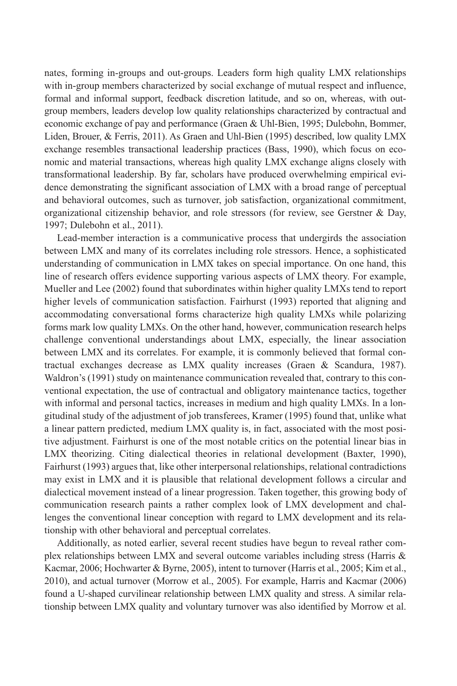nates, forming in-groups and out-groups. Leaders form high quality LMX relationships with in-group members characterized by social exchange of mutual respect and influence, formal and informal support, feedback discretion latitude, and so on, whereas, with outgroup members, leaders develop low quality relationships characterized by contractual and economic exchange of pay and performance (Graen & Uhl-Bien, 1995; Dulebohn, Bommer, Liden, Brouer, & Ferris, 2011). As Graen and Uhl-Bien (1995) described, low quality LMX exchange resembles transactional leadership practices (Bass, 1990), which focus on economic and material transactions, whereas high quality LMX exchange aligns closely with transformational leadership. By far, scholars have produced overwhelming empirical evidence demonstrating the significant association of LMX with a broad range of perceptual and behavioral outcomes, such as turnover, job satisfaction, organizational commitment, organizational citizenship behavior, and role stressors (for review, see Gerstner & Day, 1997; Dulebohn et al., 2011).

Lead-member interaction is a communicative process that undergirds the association between LMX and many of its correlates including role stressors. Hence, a sophisticated understanding of communication in LMX takes on special importance. On one hand, this line of research offers evidence supporting various aspects of LMX theory. For example, Mueller and Lee (2002) found that subordinates within higher quality LMXs tend to report higher levels of communication satisfaction. Fairhurst (1993) reported that aligning and accommodating conversational forms characterize high quality LMXs while polarizing forms mark low quality LMXs. On the other hand, however, communication research helps challenge conventional understandings about LMX, especially, the linear association between LMX and its correlates. For example, it is commonly believed that formal contractual exchanges decrease as LMX quality increases (Graen & Scandura, 1987). Waldron's (1991) study on maintenance communication revealed that, contrary to this conventional expectation, the use of contractual and obligatory maintenance tactics, together with informal and personal tactics, increases in medium and high quality LMXs. In a longitudinal study of the adjustment of job transferees, Kramer (1995) found that, unlike what a linear pattern predicted, medium LMX quality is, in fact, associated with the most positive adjustment. Fairhurst is one of the most notable critics on the potential linear bias in LMX theorizing. Citing dialectical theories in relational development (Baxter, 1990), Fairhurst (1993) argues that, like other interpersonal relationships, relational contradictions may exist in LMX and it is plausible that relational development follows a circular and dialectical movement instead of a linear progression. Taken together, this growing body of communication research paints a rather complex look of LMX development and challenges the conventional linear conception with regard to LMX development and its relationship with other behavioral and perceptual correlates.

Additionally, as noted earlier, several recent studies have begun to reveal rather complex relationships between LMX and several outcome variables including stress (Harris & Kacmar, 2006; Hochwarter & Byrne, 2005), intent to turnover (Harris et al., 2005; Kim et al., 2010), and actual turnover (Morrow et al., 2005). For example, Harris and Kacmar (2006) found a U-shaped curvilinear relationship between LMX quality and stress. A similar relationship between LMX quality and voluntary turnover was also identified by Morrow et al.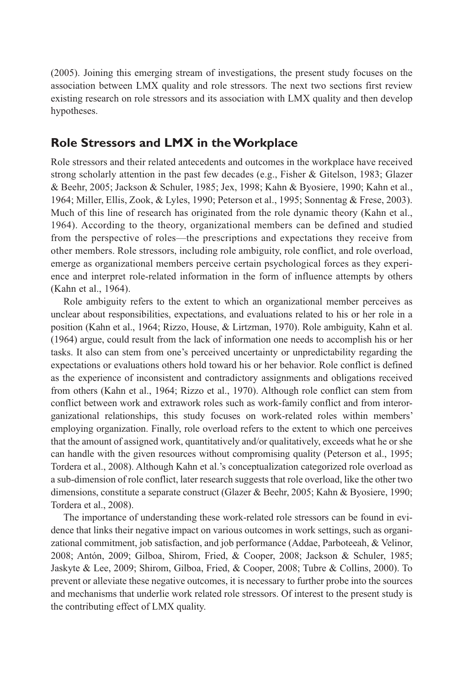(2005). Joining this emerging stream of investigations, the present study focuses on the association between LMX quality and role stressors. The next two sections first review existing research on role stressors and its association with LMX quality and then develop hypotheses.

# **Role Stressors and LMX in the Workplace**

Role stressors and their related antecedents and outcomes in the workplace have received strong scholarly attention in the past few decades (e.g., Fisher & Gitelson, 1983; Glazer & Beehr, 2005; Jackson & Schuler, 1985; Jex, 1998; Kahn & Byosiere, 1990; Kahn et al., 1964; Miller, Ellis, Zook, & Lyles, 1990; Peterson et al., 1995; Sonnentag & Frese, 2003). Much of this line of research has originated from the role dynamic theory (Kahn et al., 1964). According to the theory, organizational members can be defined and studied from the perspective of roles—the prescriptions and expectations they receive from other members. Role stressors, including role ambiguity, role conflict, and role overload, emerge as organizational members perceive certain psychological forces as they experience and interpret role-related information in the form of influence attempts by others (Kahn et al., 1964).

Role ambiguity refers to the extent to which an organizational member perceives as unclear about responsibilities, expectations, and evaluations related to his or her role in a position (Kahn et al., 1964; Rizzo, House, & Lirtzman, 1970). Role ambiguity, Kahn et al. (1964) argue, could result from the lack of information one needs to accomplish his or her tasks. It also can stem from one's perceived uncertainty or unpredictability regarding the expectations or evaluations others hold toward his or her behavior. Role conflict is defined as the experience of inconsistent and contradictory assignments and obligations received from others (Kahn et al., 1964; Rizzo et al., 1970). Although role conflict can stem from conflict between work and extrawork roles such as work-family conflict and from interorganizational relationships, this study focuses on work-related roles within members' employing organization. Finally, role overload refers to the extent to which one perceives that the amount of assigned work, quantitatively and/or qualitatively, exceeds what he or she can handle with the given resources without compromising quality (Peterson et al., 1995; Tordera et al., 2008). Although Kahn et al.'s conceptualization categorized role overload as a sub-dimension of role conflict, later research suggests that role overload, like the other two dimensions, constitute a separate construct (Glazer & Beehr, 2005; Kahn & Byosiere, 1990; Tordera et al., 2008).

The importance of understanding these work-related role stressors can be found in evidence that links their negative impact on various outcomes in work settings, such as organizational commitment, job satisfaction, and job performance (Addae, Parboteeah, & Velinor, 2008; Antón, 2009; Gilboa, Shirom, Fried, & Cooper, 2008; Jackson & Schuler, 1985; Jaskyte & Lee, 2009; Shirom, Gilboa, Fried, & Cooper, 2008; Tubre & Collins, 2000). To prevent or alleviate these negative outcomes, it is necessary to further probe into the sources and mechanisms that underlie work related role stressors. Of interest to the present study is the contributing effect of LMX quality.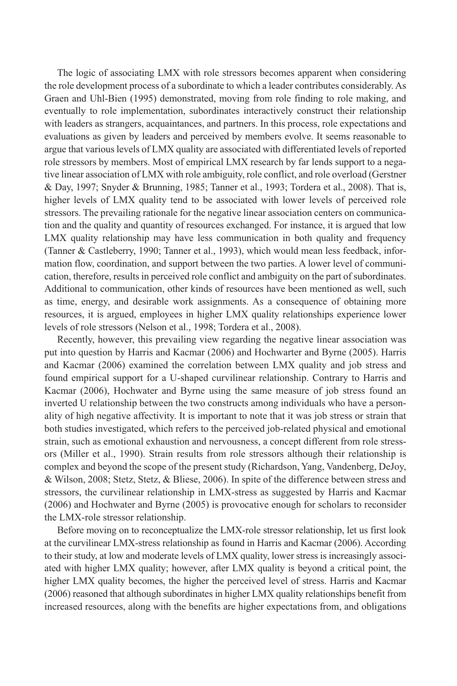The logic of associating LMX with role stressors becomes apparent when considering the role development process of a subordinate to which a leader contributes considerably. As Graen and Uhl-Bien (1995) demonstrated, moving from role finding to role making, and eventually to role implementation, subordinates interactively construct their relationship with leaders as strangers, acquaintances, and partners. In this process, role expectations and evaluations as given by leaders and perceived by members evolve. It seems reasonable to argue that various levels of LMX quality are associated with differentiated levels of reported role stressors by members. Most of empirical LMX research by far lends support to a negative linear association of LMX with role ambiguity, role conflict, and role overload (Gerstner & Day, 1997; Snyder & Brunning, 1985; Tanner et al., 1993; Tordera et al., 2008). That is, higher levels of LMX quality tend to be associated with lower levels of perceived role stressors. The prevailing rationale for the negative linear association centers on communication and the quality and quantity of resources exchanged. For instance, it is argued that low LMX quality relationship may have less communication in both quality and frequency (Tanner & Castleberry, 1990; Tanner et al., 1993), which would mean less feedback, information flow, coordination, and support between the two parties. A lower level of communication, therefore, results in perceived role conflict and ambiguity on the part of subordinates. Additional to communication, other kinds of resources have been mentioned as well, such as time, energy, and desirable work assignments. As a consequence of obtaining more resources, it is argued, employees in higher LMX quality relationships experience lower levels of role stressors (Nelson et al., 1998; Tordera et al., 2008).

Recently, however, this prevailing view regarding the negative linear association was put into question by Harris and Kacmar (2006) and Hochwarter and Byrne (2005). Harris and Kacmar (2006) examined the correlation between LMX quality and job stress and found empirical support for a U-shaped curvilinear relationship. Contrary to Harris and Kacmar (2006), Hochwater and Byrne using the same measure of job stress found an inverted U relationship between the two constructs among individuals who have a personality of high negative affectivity. It is important to note that it was job stress or strain that both studies investigated, which refers to the perceived job-related physical and emotional strain, such as emotional exhaustion and nervousness, a concept different from role stressors (Miller et al., 1990). Strain results from role stressors although their relationship is complex and beyond the scope of the present study (Richardson, Yang, Vandenberg, DeJoy, & Wilson, 2008; Stetz, Stetz, & Bliese, 2006). In spite of the difference between stress and stressors, the curvilinear relationship in LMX-stress as suggested by Harris and Kacmar (2006) and Hochwater and Byrne (2005) is provocative enough for scholars to reconsider the LMX-role stressor relationship.

Before moving on to reconceptualize the LMX-role stressor relationship, let us first look at the curvilinear LMX-stress relationship as found in Harris and Kacmar (2006). According to their study, at low and moderate levels of LMX quality, lower stress is increasingly associated with higher LMX quality; however, after LMX quality is beyond a critical point, the higher LMX quality becomes, the higher the perceived level of stress. Harris and Kacmar (2006) reasoned that although subordinates in higher LMX quality relationships benefit from increased resources, along with the benefits are higher expectations from, and obligations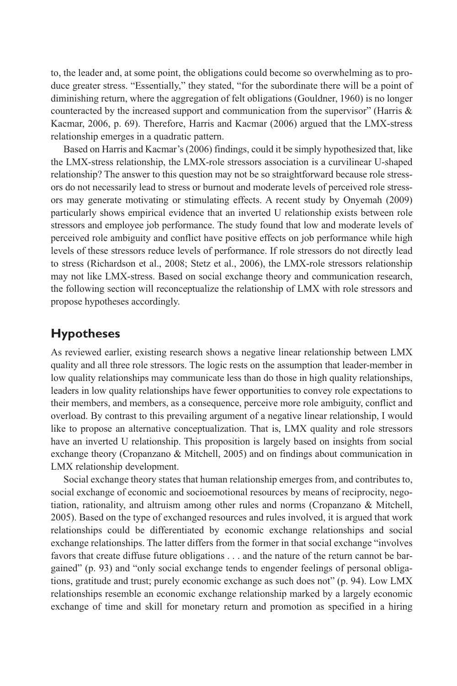to, the leader and, at some point, the obligations could become so overwhelming as to produce greater stress. "Essentially," they stated, "for the subordinate there will be a point of diminishing return, where the aggregation of felt obligations (Gouldner, 1960) is no longer counteracted by the increased support and communication from the supervisor" (Harris & Kacmar, 2006, p. 69). Therefore, Harris and Kacmar (2006) argued that the LMX-stress relationship emerges in a quadratic pattern.

Based on Harris and Kacmar's (2006) findings, could it be simply hypothesized that, like the LMX-stress relationship, the LMX-role stressors association is a curvilinear U-shaped relationship? The answer to this question may not be so straightforward because role stressors do not necessarily lead to stress or burnout and moderate levels of perceived role stressors may generate motivating or stimulating effects. A recent study by Onyemah (2009) particularly shows empirical evidence that an inverted U relationship exists between role stressors and employee job performance. The study found that low and moderate levels of perceived role ambiguity and conflict have positive effects on job performance while high levels of these stressors reduce levels of performance. If role stressors do not directly lead to stress (Richardson et al., 2008; Stetz et al., 2006), the LMX-role stressors relationship may not like LMX-stress. Based on social exchange theory and communication research, the following section will reconceptualize the relationship of LMX with role stressors and propose hypotheses accordingly.

# **Hypotheses**

As reviewed earlier, existing research shows a negative linear relationship between LMX quality and all three role stressors. The logic rests on the assumption that leader-member in low quality relationships may communicate less than do those in high quality relationships, leaders in low quality relationships have fewer opportunities to convey role expectations to their members, and members, as a consequence, perceive more role ambiguity, conflict and overload. By contrast to this prevailing argument of a negative linear relationship, I would like to propose an alternative conceptualization. That is, LMX quality and role stressors have an inverted U relationship. This proposition is largely based on insights from social exchange theory (Cropanzano & Mitchell, 2005) and on findings about communication in LMX relationship development.

Social exchange theory states that human relationship emerges from, and contributes to, social exchange of economic and socioemotional resources by means of reciprocity, negotiation, rationality, and altruism among other rules and norms (Cropanzano & Mitchell, 2005). Based on the type of exchanged resources and rules involved, it is argued that work relationships could be differentiated by economic exchange relationships and social exchange relationships. The latter differs from the former in that social exchange "involves favors that create diffuse future obligations . . . and the nature of the return cannot be bargained" (p. 93) and "only social exchange tends to engender feelings of personal obligations, gratitude and trust; purely economic exchange as such does not" (p. 94). Low LMX relationships resemble an economic exchange relationship marked by a largely economic exchange of time and skill for monetary return and promotion as specified in a hiring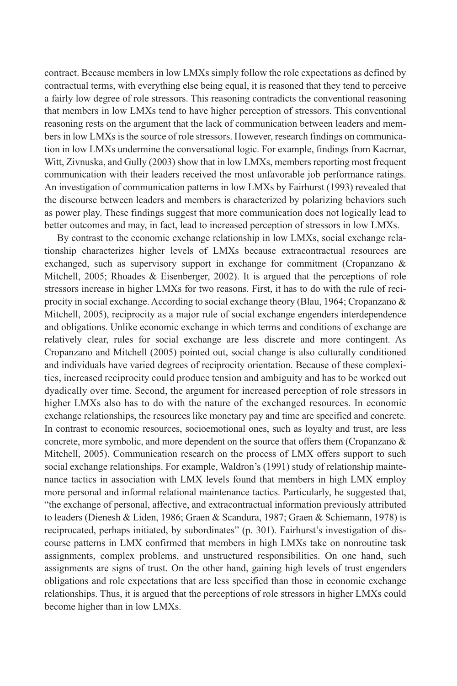contract. Because members in low LMXs simply follow the role expectations as defined by contractual terms, with everything else being equal, it is reasoned that they tend to perceive a fairly low degree of role stressors. This reasoning contradicts the conventional reasoning that members in low LMXs tend to have higher perception of stressors. This conventional reasoning rests on the argument that the lack of communication between leaders and members in low LMXs is the source of role stressors. However, research findings on communication in low LMXs undermine the conversational logic. For example, findings from Kacmar, Witt, Zivnuska, and Gully (2003) show that in low LMXs, members reporting most frequent communication with their leaders received the most unfavorable job performance ratings. An investigation of communication patterns in low LMXs by Fairhurst (1993) revealed that the discourse between leaders and members is characterized by polarizing behaviors such as power play. These findings suggest that more communication does not logically lead to better outcomes and may, in fact, lead to increased perception of stressors in low LMXs.

By contrast to the economic exchange relationship in low LMXs, social exchange relationship characterizes higher levels of LMXs because extracontractual resources are exchanged, such as supervisory support in exchange for commitment (Cropanzano & Mitchell, 2005; Rhoades & Eisenberger, 2002). It is argued that the perceptions of role stressors increase in higher LMXs for two reasons. First, it has to do with the rule of reciprocity in social exchange. According to social exchange theory (Blau, 1964; Cropanzano & Mitchell, 2005), reciprocity as a major rule of social exchange engenders interdependence and obligations. Unlike economic exchange in which terms and conditions of exchange are relatively clear, rules for social exchange are less discrete and more contingent. As Cropanzano and Mitchell (2005) pointed out, social change is also culturally conditioned and individuals have varied degrees of reciprocity orientation. Because of these complexities, increased reciprocity could produce tension and ambiguity and has to be worked out dyadically over time. Second, the argument for increased perception of role stressors in higher LMXs also has to do with the nature of the exchanged resources. In economic exchange relationships, the resources like monetary pay and time are specified and concrete. In contrast to economic resources, socioemotional ones, such as loyalty and trust, are less concrete, more symbolic, and more dependent on the source that offers them (Cropanzano & Mitchell, 2005). Communication research on the process of LMX offers support to such social exchange relationships. For example, Waldron's (1991) study of relationship maintenance tactics in association with LMX levels found that members in high LMX employ more personal and informal relational maintenance tactics. Particularly, he suggested that, "the exchange of personal, affective, and extracontractual information previously attributed to leaders (Dienesh & Liden, 1986; Graen & Scandura, 1987; Graen & Schiemann, 1978) is reciprocated, perhaps initiated, by subordinates" (p. 301). Fairhurst's investigation of discourse patterns in LMX confirmed that members in high LMXs take on nonroutine task assignments, complex problems, and unstructured responsibilities. On one hand, such assignments are signs of trust. On the other hand, gaining high levels of trust engenders obligations and role expectations that are less specified than those in economic exchange relationships. Thus, it is argued that the perceptions of role stressors in higher LMXs could become higher than in low LMXs.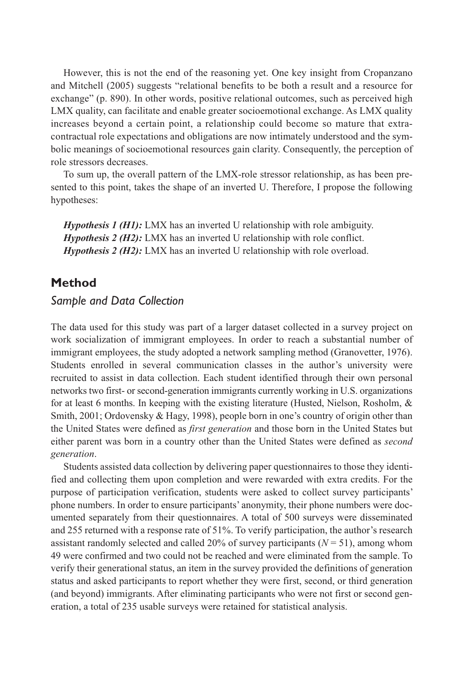However, this is not the end of the reasoning yet. One key insight from Cropanzano and Mitchell (2005) suggests "relational benefits to be both a result and a resource for exchange" (p. 890). In other words, positive relational outcomes, such as perceived high LMX quality, can facilitate and enable greater socioemotional exchange. As LMX quality increases beyond a certain point, a relationship could become so mature that extracontractual role expectations and obligations are now intimately understood and the symbolic meanings of socioemotional resources gain clarity. Consequently, the perception of role stressors decreases.

To sum up, the overall pattern of the LMX-role stressor relationship, as has been presented to this point, takes the shape of an inverted U. Therefore, I propose the following hypotheses:

*Hypothesis 1 (H1):* LMX has an inverted U relationship with role ambiguity. *Hypothesis 2 (H2):* LMX has an inverted U relationship with role conflict. *Hypothesis 2 (H2):* LMX has an inverted U relationship with role overload.

# **Method**

#### *Sample and Data Collection*

The data used for this study was part of a larger dataset collected in a survey project on work socialization of immigrant employees. In order to reach a substantial number of immigrant employees, the study adopted a network sampling method (Granovetter, 1976). Students enrolled in several communication classes in the author's university were recruited to assist in data collection. Each student identified through their own personal networks two first- or second-generation immigrants currently working in U.S. organizations for at least 6 months. In keeping with the existing literature (Husted, Nielson, Rosholm, & Smith, 2001; Ordovensky & Hagy, 1998), people born in one's country of origin other than the United States were defined as *first generation* and those born in the United States but either parent was born in a country other than the United States were defined as *second generation*.

Students assisted data collection by delivering paper questionnaires to those they identified and collecting them upon completion and were rewarded with extra credits. For the purpose of participation verification, students were asked to collect survey participants' phone numbers. In order to ensure participants' anonymity, their phone numbers were documented separately from their questionnaires. A total of 500 surveys were disseminated and 255 returned with a response rate of 51%. To verify participation, the author's research assistant randomly selected and called 20% of survey participants  $(N = 51)$ , among whom 49 were confirmed and two could not be reached and were eliminated from the sample. To verify their generational status, an item in the survey provided the definitions of generation status and asked participants to report whether they were first, second, or third generation (and beyond) immigrants. After eliminating participants who were not first or second generation, a total of 235 usable surveys were retained for statistical analysis.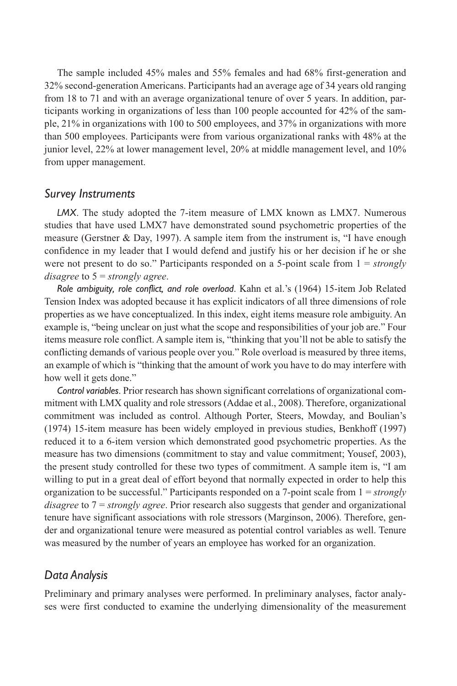The sample included 45% males and 55% females and had 68% first-generation and 32% second-generation Americans. Participants had an average age of 34 years old ranging from 18 to 71 and with an average organizational tenure of over 5 years. In addition, participants working in organizations of less than 100 people accounted for 42% of the sample, 21% in organizations with 100 to 500 employees, and 37% in organizations with more than 500 employees. Participants were from various organizational ranks with 48% at the junior level, 22% at lower management level, 20% at middle management level, and 10% from upper management.

#### *Survey Instruments*

*LMX*. The study adopted the 7-item measure of LMX known as LMX7. Numerous studies that have used LMX7 have demonstrated sound psychometric properties of the measure (Gerstner & Day, 1997). A sample item from the instrument is, "I have enough confidence in my leader that I would defend and justify his or her decision if he or she were not present to do so." Participants responded on a 5-point scale from 1 = *strongly disagree* to 5 = *strongly agree*.

*Role ambiguity, role conflict, and role overload*. Kahn et al.'s (1964) 15-item Job Related Tension Index was adopted because it has explicit indicators of all three dimensions of role properties as we have conceptualized. In this index, eight items measure role ambiguity. An example is, "being unclear on just what the scope and responsibilities of your job are." Four items measure role conflict. A sample item is, "thinking that you'll not be able to satisfy the conflicting demands of various people over you." Role overload is measured by three items, an example of which is "thinking that the amount of work you have to do may interfere with how well it gets done."

*Control variables*. Prior research has shown significant correlations of organizational commitment with LMX quality and role stressors (Addae et al., 2008). Therefore, organizational commitment was included as control. Although Porter, Steers, Mowday, and Boulian's (1974) 15-item measure has been widely employed in previous studies, Benkhoff (1997) reduced it to a 6-item version which demonstrated good psychometric properties. As the measure has two dimensions (commitment to stay and value commitment; Yousef, 2003), the present study controlled for these two types of commitment. A sample item is, "I am willing to put in a great deal of effort beyond that normally expected in order to help this organization to be successful." Participants responded on a 7-point scale from 1 = *strongly disagree* to 7 = *strongly agree*. Prior research also suggests that gender and organizational tenure have significant associations with role stressors (Marginson, 2006). Therefore, gender and organizational tenure were measured as potential control variables as well. Tenure was measured by the number of years an employee has worked for an organization.

#### *Data Analysis*

Preliminary and primary analyses were performed. In preliminary analyses, factor analyses were first conducted to examine the underlying dimensionality of the measurement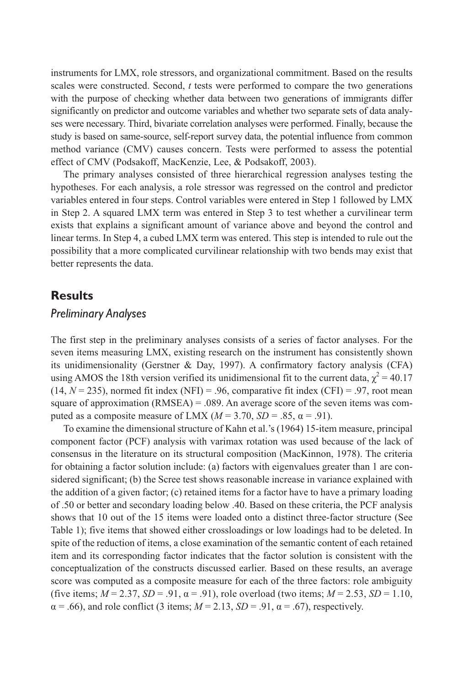instruments for LMX, role stressors, and organizational commitment. Based on the results scales were constructed. Second, *t* tests were performed to compare the two generations with the purpose of checking whether data between two generations of immigrants differ significantly on predictor and outcome variables and whether two separate sets of data analyses were necessary. Third, bivariate correlation analyses were performed. Finally, because the study is based on same-source, self-report survey data, the potential influence from common method variance (CMV) causes concern. Tests were performed to assess the potential effect of CMV (Podsakoff, MacKenzie, Lee, & Podsakoff, 2003).

The primary analyses consisted of three hierarchical regression analyses testing the hypotheses. For each analysis, a role stressor was regressed on the control and predictor variables entered in four steps. Control variables were entered in Step 1 followed by LMX in Step 2. A squared LMX term was entered in Step 3 to test whether a curvilinear term exists that explains a significant amount of variance above and beyond the control and linear terms. In Step 4, a cubed LMX term was entered. This step is intended to rule out the possibility that a more complicated curvilinear relationship with two bends may exist that better represents the data.

# **Results**

#### *Preliminary Analyses*

The first step in the preliminary analyses consists of a series of factor analyses. For the seven items measuring LMX, existing research on the instrument has consistently shown its unidimensionality (Gerstner & Day, 1997). A confirmatory factory analysis (CFA) using AMOS the 18th version verified its unidimensional fit to the current data,  $\chi^2 = 40.17$  $(14, N = 235)$ , normed fit index (NFI) = .96, comparative fit index (CFI) = .97, root mean square of approximation (RMSEA) = .089. An average score of the seven items was computed as a composite measure of LMX ( $M = 3.70$ ,  $SD = .85$ ,  $\alpha = .91$ ).

To examine the dimensional structure of Kahn et al.'s (1964) 15-item measure, principal component factor (PCF) analysis with varimax rotation was used because of the lack of consensus in the literature on its structural composition (MacKinnon, 1978). The criteria for obtaining a factor solution include: (a) factors with eigenvalues greater than 1 are considered significant; (b) the Scree test shows reasonable increase in variance explained with the addition of a given factor; (c) retained items for a factor have to have a primary loading of .50 or better and secondary loading below .40. Based on these criteria, the PCF analysis shows that 10 out of the 15 items were loaded onto a distinct three-factor structure (See Table 1); five items that showed either crossloadings or low loadings had to be deleted. In spite of the reduction of items, a close examination of the semantic content of each retained item and its corresponding factor indicates that the factor solution is consistent with the conceptualization of the constructs discussed earlier. Based on these results, an average score was computed as a composite measure for each of the three factors: role ambiguity (five items;  $M = 2.37$ ,  $SD = .91$ ,  $\alpha = .91$ ), role overload (two items;  $M = 2.53$ ,  $SD = 1.10$ ,  $\alpha$  = .66), and role conflict (3 items;  $M = 2.13$ ,  $SD = .91$ ,  $\alpha$  = .67), respectively.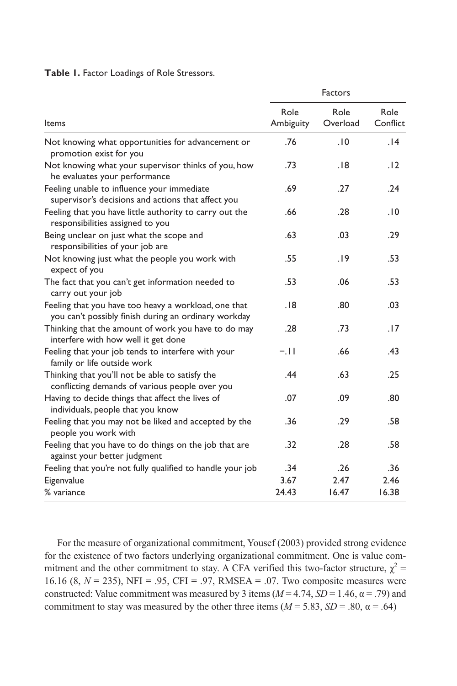|                                                                                                              |                   | Factors          |                  |
|--------------------------------------------------------------------------------------------------------------|-------------------|------------------|------------------|
| Items                                                                                                        | Role<br>Ambiguity | Role<br>Overload | Role<br>Conflict |
| Not knowing what opportunities for advancement or<br>promotion exist for you                                 | .76               | .10              | .14              |
| Not knowing what your supervisor thinks of you, how<br>he evaluates your performance                         | .73               | .18              | .12              |
| Feeling unable to influence your immediate<br>supervisor's decisions and actions that affect you             | .69               | .27              | .24              |
| Feeling that you have little authority to carry out the<br>responsibilities assigned to you                  | .66               | .28              | .10              |
| Being unclear on just what the scope and<br>responsibilities of your job are                                 | .63               | .03              | .29              |
| Not knowing just what the people you work with<br>expect of you                                              | .55               | .19              | .53              |
| The fact that you can't get information needed to<br>carry out your job                                      | .53               | .06              | .53              |
| Feeling that you have too heavy a workload, one that<br>you can't possibly finish during an ordinary workday | .18               | .80              | .03              |
| Thinking that the amount of work you have to do may<br>interfere with how well it get done                   | .28               | .73              | .17              |
| Feeling that your job tends to interfere with your<br>family or life outside work                            | $-.11$            | .66              | .43              |
| Thinking that you'll not be able to satisfy the<br>conflicting demands of various people over you            | .44               | .63              | .25              |
| Having to decide things that affect the lives of<br>individuals, people that you know                        | .07               | .09              | .80              |
| Feeling that you may not be liked and accepted by the<br>people you work with                                | .36               | .29              | .58              |
| Feeling that you have to do things on the job that are<br>against your better judgment                       | .32               | .28              | .58              |
| Feeling that you're not fully qualified to handle your job                                                   | .34               | .26              | .36              |
| Eigenvalue                                                                                                   | 3.67              | 2.47             | 2.46             |
| % variance                                                                                                   | 24.43             | 16.47            | 16.38            |

**Table 1.** Factor Loadings of Role Stressors.

For the measure of organizational commitment, Yousef (2003) provided strong evidence for the existence of two factors underlying organizational commitment. One is value commitment and the other commitment to stay. A CFA verified this two-factor structure,  $\chi^2$  = 16.16 (8, *N* = 235), NFI = .95, CFI = .97, RMSEA = .07. Two composite measures were constructed: Value commitment was measured by 3 items ( $M = 4.74$ ,  $SD = 1.46$ ,  $\alpha = .79$ ) and commitment to stay was measured by the other three items ( $M = 5.83$ ,  $SD = .80$ ,  $\alpha = .64$ )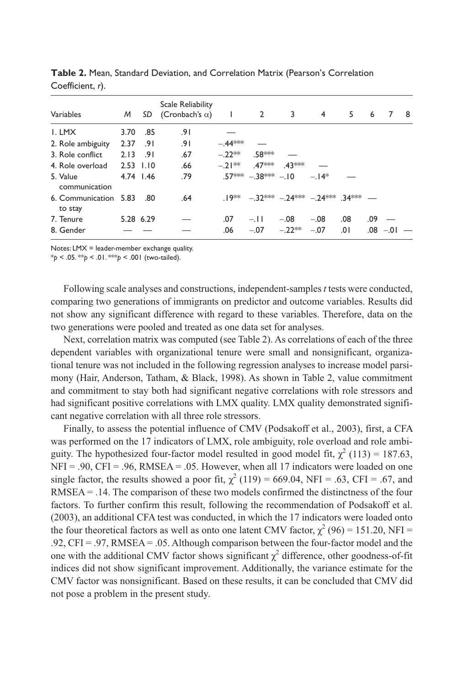| Variables                        | M             |           | <b>Scale Reliability</b><br>SD (Cronbach's $\alpha$ ) | $\blacksquare$ | $\overline{2}$                    | $\overline{\mathbf{3}}$ | $\overline{4}$                             | 5   | 6   | 7           | - 8 |
|----------------------------------|---------------|-----------|-------------------------------------------------------|----------------|-----------------------------------|-------------------------|--------------------------------------------|-----|-----|-------------|-----|
| I. LMX                           | 3.70          | .85       | .9۱                                                   |                |                                   |                         |                                            |     |     |             |     |
| 2. Role ambiguity                | 2.37          | .91       | .9۱                                                   | $-.44***$      |                                   |                         |                                            |     |     |             |     |
| 3. Role conflict                 | 2.13          | .91       | .67                                                   | $-22**$        | 58***                             |                         |                                            |     |     |             |     |
| 4. Role overload                 | $2.53$ $1.10$ |           | .66                                                   | $-21**$        | .47***                            | 43***                   |                                            |     |     |             |     |
| 5. Value<br>communication        |               | 4.74 1.46 | .79                                                   |                | $.57***$ $-.38***$ $-.10$ $-.14*$ |                         |                                            |     |     |             |     |
| 6. Communication 5.83<br>to stay |               | .80       | .64                                                   |                |                                   |                         | $19**$ $-37***$ $-24***$ $-24***$ $-34***$ |     |     |             |     |
| 7. Tenure                        |               | 5.28 6.29 |                                                       | .07            | $-.11$                            | $-.08$                  | $-.08$                                     | .08 | .09 |             |     |
| 8. Gender                        |               |           |                                                       | .06            | $-.07$                            | $-.22**$                | $-.07$                                     | .01 |     | $.08 - .01$ |     |

**Table 2.** Mean, Standard Deviation, and Correlation Matrix (Pearson's Correlation Coefficient, *r*).

Notes: LMX = leader-member exchange quality.

\**p* < .05. \*\**p* < .01. \*\*\**p* < .001 (two-tailed).

Following scale analyses and constructions, independent-samples *t* tests were conducted, comparing two generations of immigrants on predictor and outcome variables. Results did not show any significant difference with regard to these variables. Therefore, data on the two generations were pooled and treated as one data set for analyses.

Next, correlation matrix was computed (see Table 2). As correlations of each of the three dependent variables with organizational tenure were small and nonsignificant, organizational tenure was not included in the following regression analyses to increase model parsimony (Hair, Anderson, Tatham, & Black, 1998). As shown in Table 2, value commitment and commitment to stay both had significant negative correlations with role stressors and had significant positive correlations with LMX quality. LMX quality demonstrated significant negative correlation with all three role stressors.

Finally, to assess the potential influence of CMV (Podsakoff et al., 2003), first, a CFA was performed on the 17 indicators of LMX, role ambiguity, role overload and role ambiguity. The hypothesized four-factor model resulted in good model fit,  $\chi^2$  (113) = 187.63, NFI = .90, CFI = .96, RMSEA = .05. However, when all 17 indicators were loaded on one single factor, the results showed a poor fit,  $\chi^2$  (119) = 669.04, NFI = .63, CFI = .67, and RMSEA = .14. The comparison of these two models confirmed the distinctness of the four factors. To further confirm this result, following the recommendation of Podsakoff et al. (2003), an additional CFA test was conducted, in which the 17 indicators were loaded onto the four theoretical factors as well as onto one latent CMV factor,  $\chi^2$  (96) = 151.20, NFI = .92, CFI = .97, RMSEA = .05. Although comparison between the four-factor model and the one with the additional CMV factor shows significant  $\chi^2$  difference, other goodness-of-fit indices did not show significant improvement. Additionally, the variance estimate for the CMV factor was nonsignificant. Based on these results, it can be concluded that CMV did not pose a problem in the present study.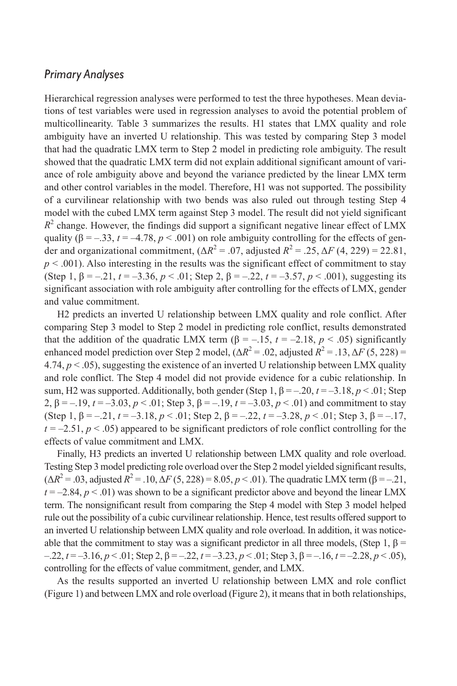#### *Primary Analyses*

Hierarchical regression analyses were performed to test the three hypotheses. Mean deviations of test variables were used in regression analyses to avoid the potential problem of multicollinearity. Table 3 summarizes the results. H1 states that LMX quality and role ambiguity have an inverted U relationship. This was tested by comparing Step 3 model that had the quadratic LMX term to Step 2 model in predicting role ambiguity. The result showed that the quadratic LMX term did not explain additional significant amount of variance of role ambiguity above and beyond the variance predicted by the linear LMX term and other control variables in the model. Therefore, H1 was not supported. The possibility of a curvilinear relationship with two bends was also ruled out through testing Step 4 model with the cubed LMX term against Step 3 model. The result did not yield significant  $R<sup>2</sup>$  change. However, the findings did support a significant negative linear effect of LMX quality ( $\beta = -.33$ ,  $t = -4.78$ ,  $p < .001$ ) on role ambiguity controlling for the effects of gender and organizational commitment,  $(\Delta R^2 = .07)$ , adjusted  $R^2 = .25$ ,  $\Delta F (4, 229) = 22.81$ ,  $p \leq 0.001$ ). Also interesting in the results was the significant effect of commitment to stay (Step 1,  $\beta = -0.21$ ,  $t = -3.36$ ,  $p < 0.01$ ; Step 2,  $\beta = -0.22$ ,  $t = -3.57$ ,  $p < 0.001$ ), suggesting its significant association with role ambiguity after controlling for the effects of LMX, gender and value commitment.

H2 predicts an inverted U relationship between LMX quality and role conflict. After comparing Step 3 model to Step 2 model in predicting role conflict, results demonstrated that the addition of the quadratic LMX term ( $\beta$  = –.15,  $t$  = –2.18,  $p$  < .05) significantly enhanced model prediction over Step 2 model,  $(\Delta R^2 = .02$ , adjusted  $R^2 = .13$ ,  $\Delta F (5, 228) =$ 4.74,  $p < .05$ ), suggesting the existence of an inverted U relationship between LMX quality and role conflict. The Step 4 model did not provide evidence for a cubic relationship. In sum, H2 was supported. Additionally, both gender (Step 1,  $\beta = -20$ ,  $t = -3.18$ ,  $p < 0.01$ ; Step 2, β = -.19, *t* = -3.03, *p* < .01; Step 3, β = -.19, *t* = -3.03, *p* < .01) and commitment to stay (Step 1,  $\beta = -0.21$ ,  $t = -3.18$ ,  $p < 0.01$ ; Step 2,  $\beta = -0.22$ ,  $t = -3.28$ ,  $p < 0.01$ ; Step 3,  $\beta = -0.17$ ,  $t = -2.51, p < .05$ ) appeared to be significant predictors of role conflict controlling for the effects of value commitment and LMX.

Finally, H3 predicts an inverted U relationship between LMX quality and role overload. Testing Step 3 model predicting role overload over the Step 2 model yielded significant results,  $(ΔR<sup>2</sup> = .03, adjusted R<sup>2</sup> = .10, ΔF (5, 228) = 8.05, p < .01)$ . The quadratic LMX term (β = -.21,  $t = -2.84$ ,  $p < .01$ ) was shown to be a significant predictor above and beyond the linear LMX term. The nonsignificant result from comparing the Step 4 model with Step 3 model helped rule out the possibility of a cubic curvilinear relationship. Hence, test results offered support to an inverted U relationship between LMX quality and role overload. In addition, it was noticeable that the commitment to stay was a significant predictor in all three models, (Step 1,  $\beta$  =  $-22$ ,  $t = -3.16$ ,  $p < 0.01$ ; Step 2,  $\beta = -22$ ,  $t = -3.23$ ,  $p < 0.01$ ; Step 3,  $\beta = -16$ ,  $t = -2.28$ ,  $p < 0.05$ ), controlling for the effects of value commitment, gender, and LMX.

As the results supported an inverted U relationship between LMX and role conflict (Figure 1) and between LMX and role overload (Figure 2), it means that in both relationships,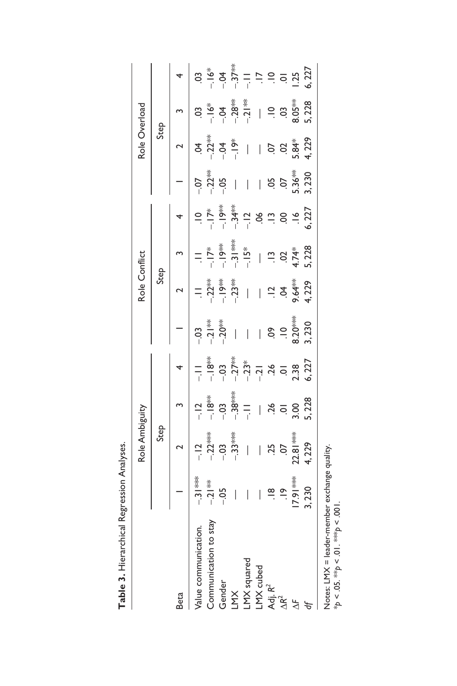|                       |                                       | Role Ambiguity           |                                |                     |                                            | Role Conflict                  |                                |                   |                                | Role Overload                  |                                |                 |
|-----------------------|---------------------------------------|--------------------------|--------------------------------|---------------------|--------------------------------------------|--------------------------------|--------------------------------|-------------------|--------------------------------|--------------------------------|--------------------------------|-----------------|
|                       |                                       | Step                     |                                |                     |                                            | Step                           |                                |                   |                                | Step                           |                                |                 |
| Beta                  |                                       |                          |                                |                     |                                            |                                |                                |                   |                                |                                |                                |                 |
| Value communication.  | $-3$ $ **$                            | $-12$                    |                                |                     | <b>SO</b> -                                |                                |                                |                   |                                |                                |                                | So              |
| Communication to stay | $-21$ <sup>**</sup>                   | $-22***$                 | $-18$ <sup>**</sup>            | $-18$ <sup>**</sup> | $-21$ <sup>**</sup><br>$-20$ <sup>**</sup> | $-22**$                        | $\sum_{i=1}^{k}$               | $-17*$            | $-22**$                        | $-22**$                        | $-16*$                         | $\frac{1}{2}$   |
| Gender                | $-0.5$                                | $-0.03$                  | $-0.5$                         | $-0.0$              |                                            | **€1-                          | ÷19**                          | <sub>**</sub> ,9* | $-0.5$                         |                                | $-0.4$                         | 50              |
| LMX                   | $\overline{\phantom{a}}$              | $-33***$                 | $-38***$                       | $-27**$             | $\overline{\phantom{a}}$                   | $-23**$                        | $-31***$                       | $-34$             | $\overline{\phantom{a}}$       | $-19*$                         | $-.28***$                      | $-37**$         |
| LMX squared           | $\begin{array}{c} \hline \end{array}$ | $\overline{\phantom{a}}$ | $\frac{1}{1}$                  | $-23*$              | $\Big $                                    | $\overline{\phantom{a}}$       | $-15*$                         | $-12$             | $\begin{array}{c} \end{array}$ | $\begin{array}{c} \end{array}$ | $-21$ <sup>**</sup>            | $\frac{1}{1}$   |
| LMX cubed             | $\begin{array}{c} \end{array}$        | $\bigg $                 | $\begin{array}{c} \end{array}$ | $-21$               | $\begin{array}{c} \end{array}$             | $\begin{array}{c} \end{array}$ | $\begin{array}{c} \end{array}$ | 8ò                |                                | $\begin{array}{c} \end{array}$ | $\begin{array}{c} \end{array}$ | $\frac{1}{2}$   |
| Adj. $R^2$            | $\frac{\infty}{\cdot}$                |                          | 26                             | .26                 | <u>ဇ</u>                                   | $\frac{1}{2}$                  | $\frac{1}{2}$                  |                   | Sp.                            | $\overline{c}$                 | $\Xi$                          |                 |
| $\Delta R^2$          | $\frac{1}{2}$                         | 25<br>07                 |                                |                     | $\frac{1}{2}$                              | ð.                             | ٤                              | S                 | $\overline{c}$                 | S                              | CO.                            |                 |
|                       | $\frac{17.91***}{3.230}$              | $22.81***$<br>4, 229     | $\frac{8}{2}$                  | 2.38                | $8.20***$                                  | $9.64**$                       | $+74*$                         | $\frac{8}{1}$     | 5.36**<br>3,230                | 5.84*                          | $8.05**$                       | $\overline{25}$ |
|                       |                                       |                          | 5,228                          | 5,227               | 3,230                                      | 4,229                          | 5,228                          | 6,227             |                                | 4,229                          | 5,228                          | , 227           |
|                       |                                       |                          |                                |                     |                                            |                                |                                |                   |                                |                                |                                |                 |

Table 3. Hierarchical Regression Analyses. **Table 3.** Hierarchical Regression Analyses.

Notes: LMX = leader-member exchange quality.<br>\*p < .05. \*\*p < .01. \*\*\*p < .001. Notes: LMX = leader-member exchange quality. *\*p* < .05. \*\**p* < .01. \*\*\**p* < .001.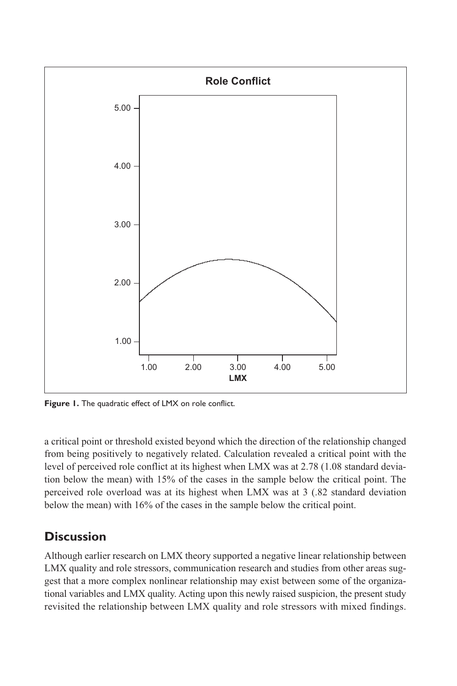

**Figure 1.** The quadratic effect of LMX on role conflict.

a critical point or threshold existed beyond which the direction of the relationship changed from being positively to negatively related. Calculation revealed a critical point with the level of perceived role conflict at its highest when LMX was at 2.78 (1.08 standard deviation below the mean) with 15% of the cases in the sample below the critical point. The perceived role overload was at its highest when LMX was at 3 (.82 standard deviation below the mean) with 16% of the cases in the sample below the critical point.

# **Discussion**

Although earlier research on LMX theory supported a negative linear relationship between LMX quality and role stressors, communication research and studies from other areas suggest that a more complex nonlinear relationship may exist between some of the organizational variables and LMX quality. Acting upon this newly raised suspicion, the present study revisited the relationship between LMX quality and role stressors with mixed findings.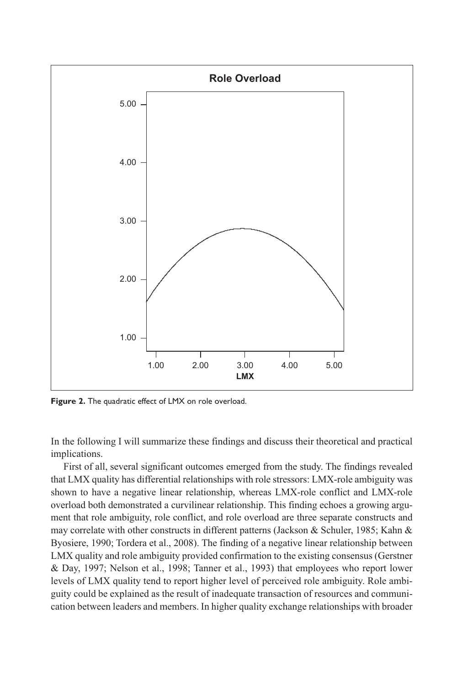

**Figure 2.** The quadratic effect of LMX on role overload.

In the following I will summarize these findings and discuss their theoretical and practical implications.

First of all, several significant outcomes emerged from the study. The findings revealed that LMX quality has differential relationships with role stressors: LMX-role ambiguity was shown to have a negative linear relationship, whereas LMX-role conflict and LMX-role overload both demonstrated a curvilinear relationship. This finding echoes a growing argument that role ambiguity, role conflict, and role overload are three separate constructs and may correlate with other constructs in different patterns (Jackson & Schuler, 1985; Kahn & Byosiere, 1990; Tordera et al., 2008). The finding of a negative linear relationship between LMX quality and role ambiguity provided confirmation to the existing consensus (Gerstner & Day, 1997; Nelson et al., 1998; Tanner et al., 1993) that employees who report lower levels of LMX quality tend to report higher level of perceived role ambiguity. Role ambiguity could be explained as the result of inadequate transaction of resources and communication between leaders and members. In higher quality exchange relationships with broader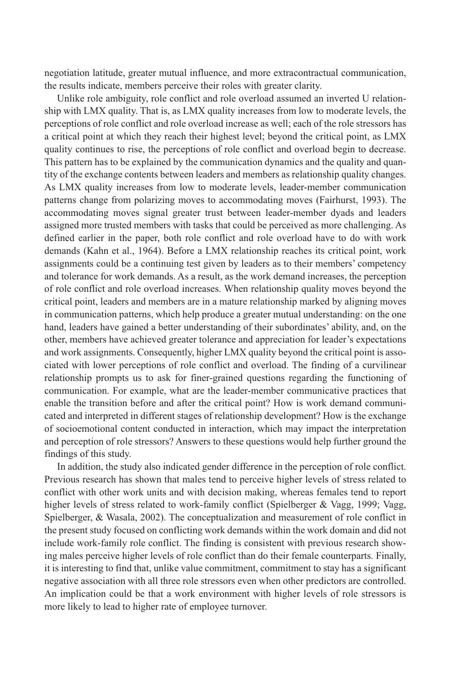negotiation latitude, greater mutual influence, and more extracontractual communication, the results indicate, members perceive their roles with greater clarity.

Unlike role ambiguity, role conflict and role overload assumed an inverted U relationship with LMX quality. That is, as LMX quality increases from low to moderate levels, the perceptions of role conflict and role overload increase as well; each of the role stressors has a critical point at which they reach their highest level; beyond the critical point, as LMX quality continues to rise, the perceptions of role conflict and overload begin to decrease. This pattern has to be explained by the communication dynamics and the quality and quantity of the exchange contents between leaders and members as relationship quality changes. As LMX quality increases from low to moderate levels, leader-member communication patterns change from polarizing moves to accommodating moves (Fairhurst, 1993). The accommodating moves signal greater trust between leader-member dyads and leaders assigned more trusted members with tasks that could be perceived as more challenging. As defined earlier in the paper, both role conflict and role overload have to do with work demands (Kahn et al., 1964). Before a LMX relationship reaches its critical point, work assignments could be a continuing test given by leaders as to their members' competency and tolerance for work demands. As a result, as the work demand increases, the perception of role conflict and role overload increases. When relationship quality moves beyond the critical point, leaders and members are in a mature relationship marked by aligning moves in communication patterns, which help produce a greater mutual understanding: on the one hand, leaders have gained a better understanding of their subordinates' ability, and, on the other, members have achieved greater tolerance and appreciation for leader's expectations and work assignments. Consequently, higher LMX quality beyond the critical point is associated with lower perceptions of role conflict and overload. The finding of a curvilinear relationship prompts us to ask for finer-grained questions regarding the functioning of communication. For example, what are the leader-member communicative practices that enable the transition before and after the critical point? How is work demand communicated and interpreted in different stages of relationship development? How is the exchange of socioemotional content conducted in interaction, which may impact the interpretation and perception of role stressors? Answers to these questions would help further ground the findings of this study.

In addition, the study also indicated gender difference in the perception of role conflict. Previous research has shown that males tend to perceive higher levels of stress related to conflict with other work units and with decision making, whereas females tend to report higher levels of stress related to work-family conflict (Spielberger & Vagg, 1999; Vagg, Spielberger, & Wasala, 2002). The conceptualization and measurement of role conflict in the present study focused on conflicting work demands within the work domain and did not include work-family role conflict. The finding is consistent with previous research showing males perceive higher levels of role conflict than do their female counterparts. Finally, it is interesting to find that, unlike value commitment, commitment to stay has a significant negative association with all three role stressors even when other predictors are controlled. An implication could be that a work environment with higher levels of role stressors is more likely to lead to higher rate of employee turnover.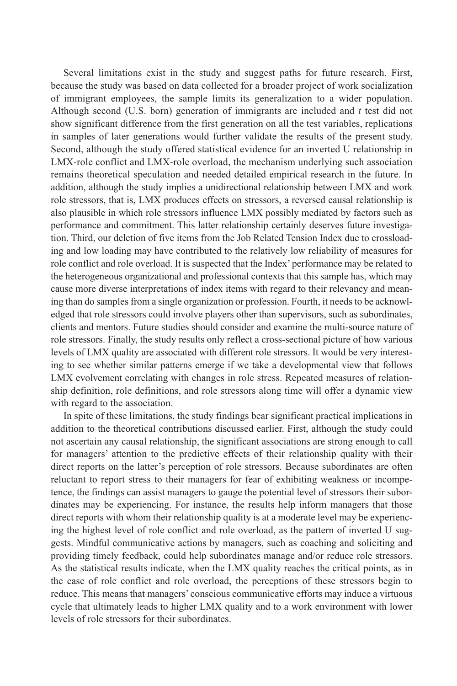Several limitations exist in the study and suggest paths for future research. First, because the study was based on data collected for a broader project of work socialization of immigrant employees, the sample limits its generalization to a wider population. Although second (U.S. born) generation of immigrants are included and *t* test did not show significant difference from the first generation on all the test variables, replications in samples of later generations would further validate the results of the present study. Second, although the study offered statistical evidence for an inverted U relationship in LMX-role conflict and LMX-role overload, the mechanism underlying such association remains theoretical speculation and needed detailed empirical research in the future. In addition, although the study implies a unidirectional relationship between LMX and work role stressors, that is, LMX produces effects on stressors, a reversed causal relationship is also plausible in which role stressors influence LMX possibly mediated by factors such as performance and commitment. This latter relationship certainly deserves future investigation. Third, our deletion of five items from the Job Related Tension Index due to crossloading and low loading may have contributed to the relatively low reliability of measures for role conflict and role overload. It is suspected that the Index' performance may be related to the heterogeneous organizational and professional contexts that this sample has, which may cause more diverse interpretations of index items with regard to their relevancy and meaning than do samples from a single organization or profession. Fourth, it needs to be acknowledged that role stressors could involve players other than supervisors, such as subordinates, clients and mentors. Future studies should consider and examine the multi-source nature of role stressors. Finally, the study results only reflect a cross-sectional picture of how various levels of LMX quality are associated with different role stressors. It would be very interesting to see whether similar patterns emerge if we take a developmental view that follows LMX evolvement correlating with changes in role stress. Repeated measures of relationship definition, role definitions, and role stressors along time will offer a dynamic view with regard to the association.

In spite of these limitations, the study findings bear significant practical implications in addition to the theoretical contributions discussed earlier. First, although the study could not ascertain any causal relationship, the significant associations are strong enough to call for managers' attention to the predictive effects of their relationship quality with their direct reports on the latter's perception of role stressors. Because subordinates are often reluctant to report stress to their managers for fear of exhibiting weakness or incompetence, the findings can assist managers to gauge the potential level of stressors their subordinates may be experiencing. For instance, the results help inform managers that those direct reports with whom their relationship quality is at a moderate level may be experiencing the highest level of role conflict and role overload, as the pattern of inverted U suggests. Mindful communicative actions by managers, such as coaching and soliciting and providing timely feedback, could help subordinates manage and/or reduce role stressors. As the statistical results indicate, when the LMX quality reaches the critical points, as in the case of role conflict and role overload, the perceptions of these stressors begin to reduce. This means that managers' conscious communicative efforts may induce a virtuous cycle that ultimately leads to higher LMX quality and to a work environment with lower levels of role stressors for their subordinates.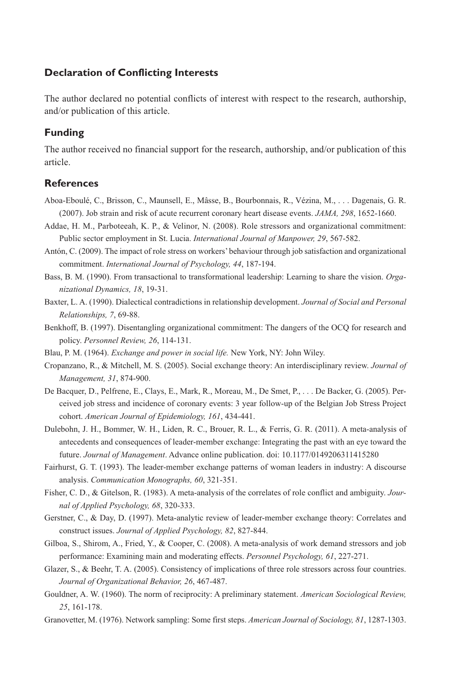#### **Declaration of Conflicting Interests**

The author declared no potential conflicts of interest with respect to the research, authorship, and/or publication of this article.

#### **Funding**

The author received no financial support for the research, authorship, and/or publication of this article.

#### **References**

- Aboa-Eboulé, C., Brisson, C., Maunsell, E., Mâsse, B., Bourbonnais, R., Vézina, M., . . . Dagenais, G. R. (2007). Job strain and risk of acute recurrent coronary heart disease events. *JAMA, 298*, 1652-1660.
- Addae, H. M., Parboteeah, K. P., & Velinor, N. (2008). Role stressors and organizational commitment: Public sector employment in St. Lucia. *International Journal of Manpower, 29*, 567-582.
- Antón, C. (2009). The impact of role stress on workers' behaviour through job satisfaction and organizational commitment. *International Journal of Psychology, 44*, 187-194.
- Bass, B. M. (1990). From transactional to transformational leadership: Learning to share the vision. *Organizational Dynamics, 18*, 19-31.
- Baxter, L. A. (1990). Dialectical contradictions in relationship development. *Journal of Social and Personal Relationships, 7*, 69-88.
- Benkhoff, B. (1997). Disentangling organizational commitment: The dangers of the OCQ for research and policy. *Personnel Review, 26*, 114-131.
- Blau, P. M. (1964). *Exchange and power in social life.* New York, NY: John Wiley.
- Cropanzano, R., & Mitchell, M. S. (2005). Social exchange theory: An interdisciplinary review. *Journal of Management, 31*, 874-900.
- De Bacquer, D., Pelfrene, E., Clays, E., Mark, R., Moreau, M., De Smet, P., . . . De Backer, G. (2005). Perceived job stress and incidence of coronary events: 3 year follow-up of the Belgian Job Stress Project cohort. *American Journal of Epidemiology, 161*, 434-441.
- Dulebohn, J. H., Bommer, W. H., Liden, R. C., Brouer, R. L., & Ferris, G. R. (2011). A meta-analysis of antecedents and consequences of leader-member exchange: Integrating the past with an eye toward the future. *Journal of Management*. Advance online publication. doi: 10.1177/0149206311415280
- Fairhurst, G. T. (1993). The leader-member exchange patterns of woman leaders in industry: A discourse analysis. *Communication Monographs, 60*, 321-351.
- Fisher, C. D., & Gitelson, R. (1983). A meta-analysis of the correlates of role conflict and ambiguity. *Journal of Applied Psychology, 68*, 320-333.
- Gerstner, C., & Day, D. (1997). Meta-analytic review of leader-member exchange theory: Correlates and construct issues. *Journal of Applied Psychology, 82*, 827-844.
- Gilboa, S., Shirom, A., Fried, Y., & Cooper, C. (2008). A meta-analysis of work demand stressors and job performance: Examining main and moderating effects. *Personnel Psychology, 61*, 227-271.
- Glazer, S., & Beehr, T. A. (2005). Consistency of implications of three role stressors across four countries. *Journal of Organizational Behavior, 26*, 467-487.
- Gouldner, A. W. (1960). The norm of reciprocity: A preliminary statement. *American Sociological Review, 25*, 161-178.
- Granovetter, M. (1976). Network sampling: Some first steps. *American Journal of Sociology, 81*, 1287-1303.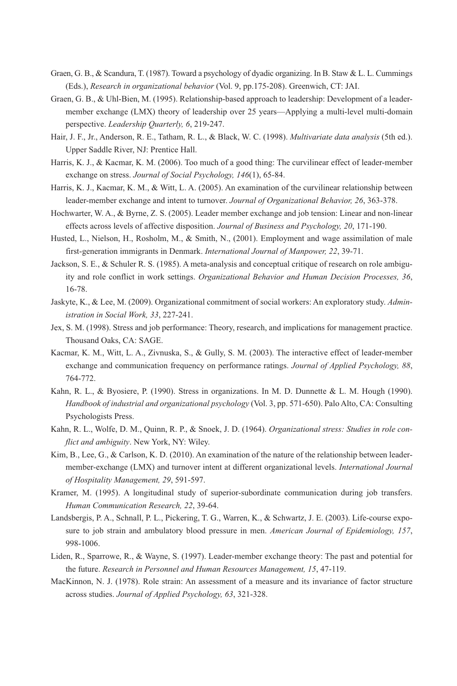- Graen, G. B., & Scandura, T. (1987). Toward a psychology of dyadic organizing. In B. Staw & L. L. Cummings (Eds.), *Research in organizational behavior* (Vol. 9, pp.175-208). Greenwich, CT: JAI.
- Graen, G. B., & Uhl-Bien, M. (1995). Relationship-based approach to leadership: Development of a leadermember exchange (LMX) theory of leadership over 25 years—Applying a multi-level multi-domain perspective. *Leadership Quarterly, 6*, 219-247.
- Hair, J. F., Jr., Anderson, R. E., Tatham, R. L., & Black, W. C. (1998). *Multivariate data analysis* (5th ed.). Upper Saddle River, NJ: Prentice Hall.
- Harris, K. J., & Kacmar, K. M. (2006). Too much of a good thing: The curvilinear effect of leader-member exchange on stress. *Journal of Social Psychology, 146*(1), 65-84.
- Harris, K. J., Kacmar, K. M., & Witt, L. A. (2005). An examination of the curvilinear relationship between leader-member exchange and intent to turnover. *Journal of Organizational Behavior, 26*, 363-378.
- Hochwarter, W. A., & Byrne, Z. S. (2005). Leader member exchange and job tension: Linear and non-linear effects across levels of affective disposition. *Journal of Business and Psychology, 20*, 171-190.
- Husted, L., Nielson, H., Rosholm, M., & Smith, N., (2001). Employment and wage assimilation of male first-generation immigrants in Denmark. *International Journal of Manpower, 22*, 39-71.
- Jackson, S. E., & Schuler R. S. (1985). A meta-analysis and conceptual critique of research on role ambiguity and role conflict in work settings. *Organizational Behavior and Human Decision Processes, 36*, 16-78.
- Jaskyte, K., & Lee, M. (2009). Organizational commitment of social workers: An exploratory study. *Administration in Social Work, 33*, 227-241.
- Jex, S. M. (1998). Stress and job performance: Theory, research, and implications for management practice. Thousand Oaks, CA: SAGE.
- Kacmar, K. M., Witt, L. A., Zivnuska, S., & Gully, S. M. (2003). The interactive effect of leader-member exchange and communication frequency on performance ratings. *Journal of Applied Psychology, 88*, 764-772.
- Kahn, R. L., & Byosiere, P. (1990). Stress in organizations. In M. D. Dunnette & L. M. Hough (1990). *Handbook of industrial and organizational psychology* (Vol. 3, pp. 571-650). Palo Alto, CA: Consulting Psychologists Press.
- Kahn, R. L., Wolfe, D. M., Quinn, R. P., & Snoek, J. D. (1964). *Organizational stress: Studies in role conflict and ambiguity*. New York, NY: Wiley.
- Kim, B., Lee, G., & Carlson, K. D. (2010). An examination of the nature of the relationship between leadermember-exchange (LMX) and turnover intent at different organizational levels. *International Journal of Hospitality Management, 29*, 591-597.
- Kramer, M. (1995). A longitudinal study of superior-subordinate communication during job transfers. *Human Communication Research, 22*, 39-64.
- Landsbergis, P. A., Schnall, P. L., Pickering, T. G., Warren, K., & Schwartz, J. E. (2003). Life-course exposure to job strain and ambulatory blood pressure in men. *American Journal of Epidemiology, 157*, 998-1006.
- Liden, R., Sparrowe, R., & Wayne, S. (1997). Leader-member exchange theory: The past and potential for the future. *Research in Personnel and Human Resources Management, 15*, 47-119.
- MacKinnon, N. J. (1978). Role strain: An assessment of a measure and its invariance of factor structure across studies. *Journal of Applied Psychology, 63*, 321-328.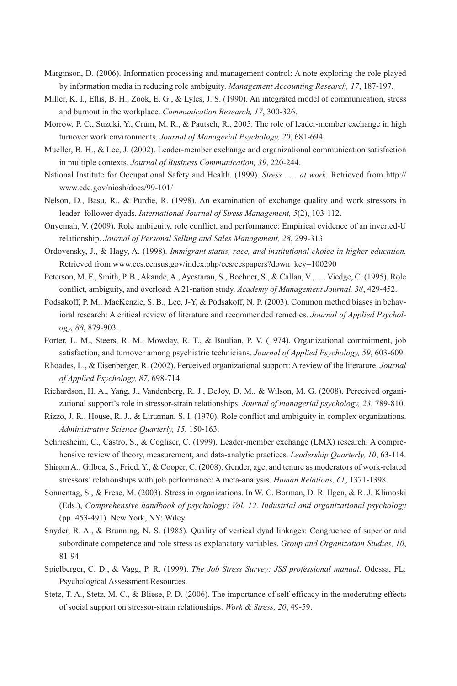- Marginson, D. (2006). Information processing and management control: A note exploring the role played by information media in reducing role ambiguity. *Management Accounting Research, 17*, 187-197.
- Miller, K. I., Ellis, B. H., Zook, E. G., & Lyles, J. S. (1990). An integrated model of communication, stress and burnout in the workplace. *Communication Research, 17*, 300-326.
- Morrow, P. C., Suzuki, Y., Crum, M. R., & Pautsch, R., 2005. The role of leader-member exchange in high turnover work environments. *Journal of Managerial Psychology, 20*, 681-694.
- Mueller, B. H., & Lee, J. (2002). Leader-member exchange and organizational communication satisfaction in multiple contexts. *Journal of Business Communication, 39*, 220-244.
- National Institute for Occupational Safety and Health. (1999). *Stress . . . at work.* Retrieved from http:// www.cdc.gov/niosh/docs/99-101/
- Nelson, D., Basu, R., & Purdie, R. (1998). An examination of exchange quality and work stressors in leader–follower dyads. *International Journal of Stress Management, 5*(2), 103-112.
- Onyemah, V. (2009). Role ambiguity, role conflict, and performance: Empirical evidence of an inverted-U relationship. *Journal of Personal Selling and Sales Management, 28*, 299-313.
- Ordovensky, J., & Hagy, A. (1998). *Immigrant status, race, and institutional choice in higher education.* Retrieved from www.ces.census.gov/index.php/ces/cespapers?down\_key=100290
- Peterson, M. F., Smith, P. B., Akande, A., Ayestaran, S., Bochner, S., & Callan, V., . . . Viedge, C. (1995). Role conflict, ambiguity, and overload: A 21-nation study. *Academy of Management Journal, 38*, 429-452.
- Podsakoff, P. M., MacKenzie, S. B., Lee, J-Y, & Podsakoff, N. P. (2003). Common method biases in behavioral research: A critical review of literature and recommended remedies. *Journal of Applied Psychology, 88*, 879-903.
- Porter, L. M., Steers, R. M., Mowday, R. T., & Boulian, P. V. (1974). Organizational commitment, job satisfaction, and turnover among psychiatric technicians. *Journal of Applied Psychology, 59*, 603-609.
- Rhoades, L., & Eisenberger, R. (2002). Perceived organizational support: A review of the literature. *Journal of Applied Psychology, 87*, 698-714.
- Richardson, H. A., Yang, J., Vandenberg, R. J., DeJoy, D. M., & Wilson, M. G. (2008). Perceived organizational support's role in stressor-strain relationships. *Journal of managerial psychology, 23*, 789-810.
- Rizzo, J. R., House, R. J., & Lirtzman, S. I. (1970). Role conflict and ambiguity in complex organizations. *Administrative Science Quarterly, 15*, 150-163.
- Schriesheim, C., Castro, S., & Cogliser, C. (1999). Leader-member exchange (LMX) research: A comprehensive review of theory, measurement, and data-analytic practices. *Leadership Quarterly, 10*, 63-114.
- Shirom A., Gilboa, S., Fried, Y., & Cooper, C. (2008). Gender, age, and tenure as moderators of work-related stressors' relationships with job performance: A meta-analysis. *Human Relations, 61*, 1371-1398.
- Sonnentag, S., & Frese, M. (2003). Stress in organizations. In W. C. Borman, D. R. Ilgen, & R. J. Klimoski (Eds.), *Comprehensive handbook of psychology: Vol. 12. Industrial and organizational psychology* (pp. 453-491). New York, NY: Wiley.
- Snyder, R. A., & Brunning, N. S. (1985). Quality of vertical dyad linkages: Congruence of superior and subordinate competence and role stress as explanatory variables. *Group and Organization Studies, 10*, 81-94.
- Spielberger, C. D., & Vagg, P. R. (1999). *The Job Stress Survey: JSS professional manual*. Odessa, FL: Psychological Assessment Resources.
- Stetz, T. A., Stetz, M. C., & Bliese, P. D. (2006). The importance of self-efficacy in the moderating effects of social support on stressor-strain relationships. *Work & Stress, 20*, 49-59.